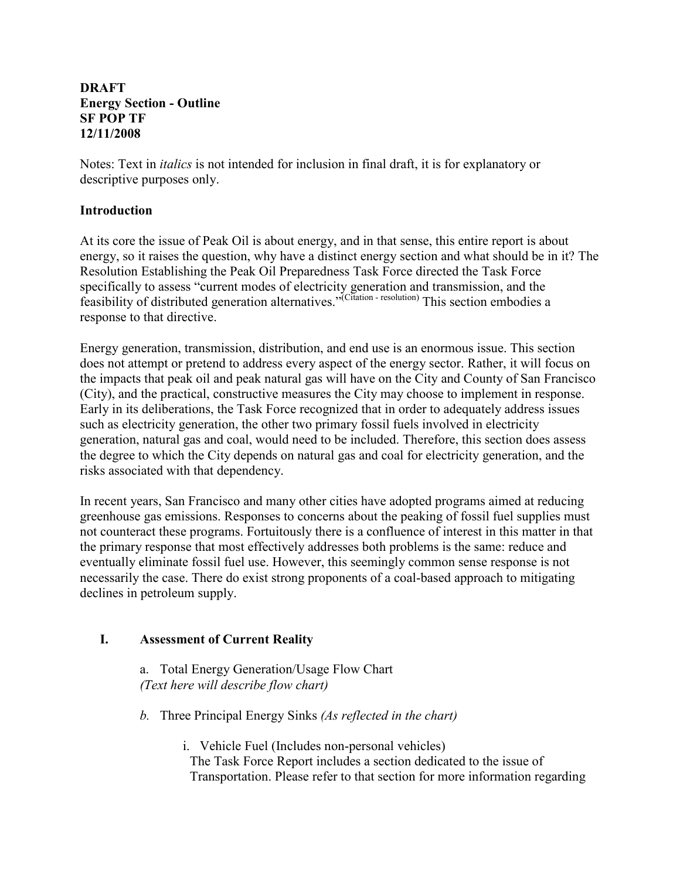#### DRAFT Energy Section - Outline SF POP TF 12/11/2008

Notes: Text in italics is not intended for inclusion in final draft, it is for explanatory or descriptive purposes only.

### **Introduction**

At its core the issue of Peak Oil is about energy, and in that sense, this entire report is about energy, so it raises the question, why have a distinct energy section and what should be in it? The Resolution Establishing the Peak Oil Preparedness Task Force directed the Task Force specifically to assess "current modes of electricity generation and transmission, and the feasibility of distributed generation alternatives."<sup>(Citation</sup> - resolution) This section embodies a response to that directive.

Energy generation, transmission, distribution, and end use is an enormous issue. This section does not attempt or pretend to address every aspect of the energy sector. Rather, it will focus on the impacts that peak oil and peak natural gas will have on the City and County of San Francisco (City), and the practical, constructive measures the City may choose to implement in response. Early in its deliberations, the Task Force recognized that in order to adequately address issues such as electricity generation, the other two primary fossil fuels involved in electricity generation, natural gas and coal, would need to be included. Therefore, this section does assess the degree to which the City depends on natural gas and coal for electricity generation, and the risks associated with that dependency.

In recent years, San Francisco and many other cities have adopted programs aimed at reducing greenhouse gas emissions. Responses to concerns about the peaking of fossil fuel supplies must not counteract these programs. Fortuitously there is a confluence of interest in this matter in that the primary response that most effectively addresses both problems is the same: reduce and eventually eliminate fossil fuel use. However, this seemingly common sense response is not necessarily the case. There do exist strong proponents of a coal-based approach to mitigating declines in petroleum supply.

## I. Assessment of Current Reality

a. Total Energy Generation/Usage Flow Chart (Text here will describe flow chart)

b. Three Principal Energy Sinks (As reflected in the chart)

i. Vehicle Fuel (Includes non-personal vehicles) The Task Force Report includes a section dedicated to the issue of Transportation. Please refer to that section for more information regarding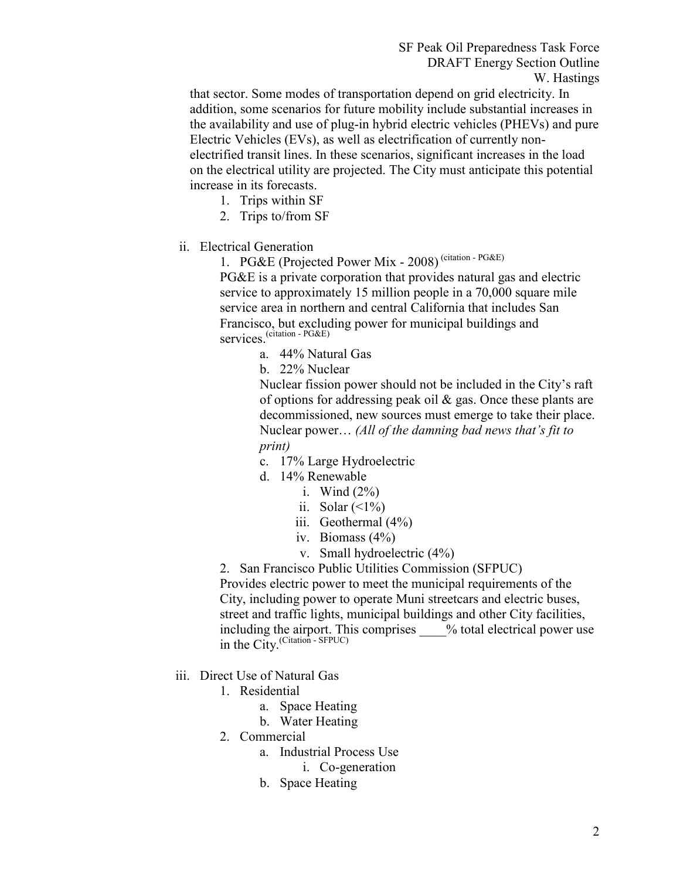that sector. Some modes of transportation depend on grid electricity. In addition, some scenarios for future mobility include substantial increases in the availability and use of plug-in hybrid electric vehicles (PHEVs) and pure Electric Vehicles (EVs), as well as electrification of currently nonelectrified transit lines. In these scenarios, significant increases in the load on the electrical utility are projected. The City must anticipate this potential increase in its forecasts.

- 1. Trips within SF
- 2. Trips to/from SF
- ii. Electrical Generation

1. PG&E (Projected Power Mix - 2008) (citation - PG&E) PG&E is a private corporation that provides natural gas and electric service to approximately 15 million people in a 70,000 square mile

service area in northern and central California that includes San Francisco, but excluding power for municipal buildings and services.<sup>(citation - PG&E)</sup>

- a. 44% Natural Gas
- b. 22% Nuclear

Nuclear fission power should not be included in the City's raft of options for addressing peak oil & gas. Once these plants are decommissioned, new sources must emerge to take their place. Nuclear power… (All of the damning bad news that's fit to print)

- c. 17% Large Hydroelectric
- d. 14% Renewable
	- i. Wind  $(2\%)$
	- ii. Solar  $(\leq 1\%)$
	- iii. Geothermal (4%)
	- iv. Biomass (4%)
	- v. Small hydroelectric (4%)

2. San Francisco Public Utilities Commission (SFPUC)

Provides electric power to meet the municipal requirements of the City, including power to operate Muni streetcars and electric buses, street and traffic lights, municipal buildings and other City facilities, including the airport. This comprises \_\_\_\_% total electrical power use in the City.(Citation - SFPUC)

- iii. Direct Use of Natural Gas
	- 1. Residential
		- a. Space Heating
		- b. Water Heating
	- 2. Commercial
		- a. Industrial Process Use
			- i. Co-generation
		- b. Space Heating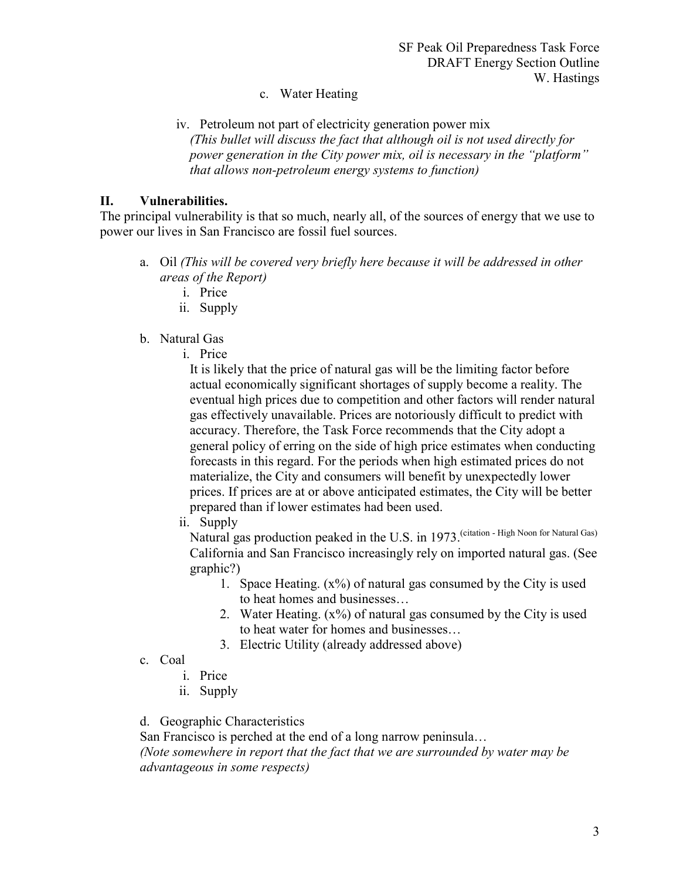## c. Water Heating

iv. Petroleum not part of electricity generation power mix (This bullet will discuss the fact that although oil is not used directly for power generation in the City power mix, oil is necessary in the "platform" that allows non-petroleum energy systems to function)

## II. Vulnerabilities.

The principal vulnerability is that so much, nearly all, of the sources of energy that we use to power our lives in San Francisco are fossil fuel sources.

- a. Oil (This will be covered very briefly here because it will be addressed in other areas of the Report)
	- i. Price
	- ii. Supply
- b. Natural Gas
	- i. Price

It is likely that the price of natural gas will be the limiting factor before actual economically significant shortages of supply become a reality. The eventual high prices due to competition and other factors will render natural gas effectively unavailable. Prices are notoriously difficult to predict with accuracy. Therefore, the Task Force recommends that the City adopt a general policy of erring on the side of high price estimates when conducting forecasts in this regard. For the periods when high estimated prices do not materialize, the City and consumers will benefit by unexpectedly lower prices. If prices are at or above anticipated estimates, the City will be better prepared than if lower estimates had been used.

ii. Supply

Natural gas production peaked in the U.S. in 1973. (citation - High Noon for Natural Gas) California and San Francisco increasingly rely on imported natural gas. (See graphic?)

- 1. Space Heating.  $(x\%)$  of natural gas consumed by the City is used to heat homes and businesses…
- 2. Water Heating.  $(x\%)$  of natural gas consumed by the City is used to heat water for homes and businesses…
- 3. Electric Utility (already addressed above)
- c. Coal
	- i. Price
	- ii. Supply
- d. Geographic Characteristics

San Francisco is perched at the end of a long narrow peninsula…

(Note somewhere in report that the fact that we are surrounded by water may be advantageous in some respects)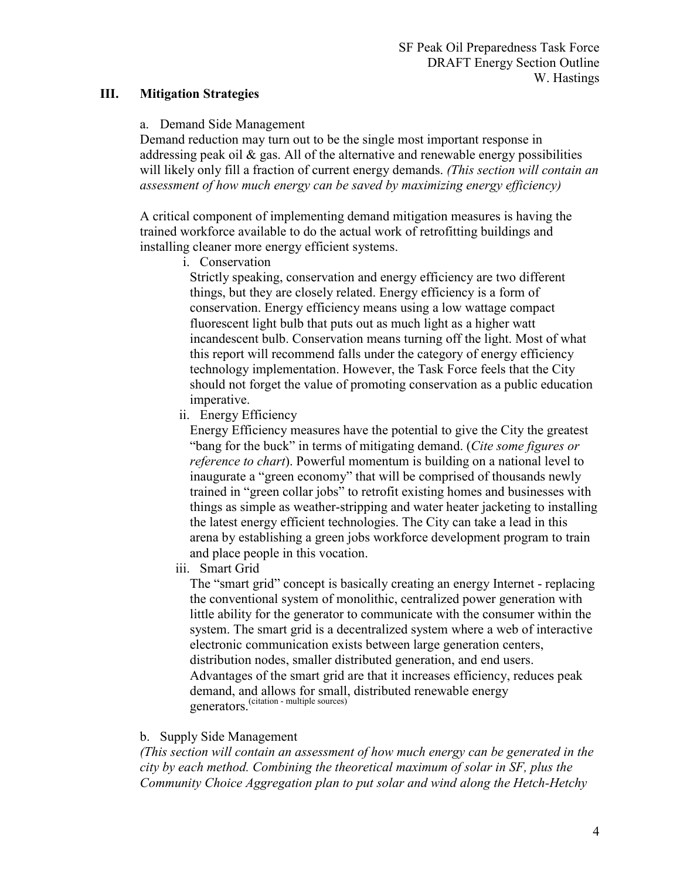## III. Mitigation Strategies

#### a. Demand Side Management

Demand reduction may turn out to be the single most important response in addressing peak oil  $\&$  gas. All of the alternative and renewable energy possibilities will likely only fill a fraction of current energy demands. (This section will contain an assessment of how much energy can be saved by maximizing energy efficiency)

A critical component of implementing demand mitigation measures is having the trained workforce available to do the actual work of retrofitting buildings and installing cleaner more energy efficient systems.

i. Conservation

Strictly speaking, conservation and energy efficiency are two different things, but they are closely related. Energy efficiency is a form of conservation. Energy efficiency means using a low wattage compact fluorescent light bulb that puts out as much light as a higher watt incandescent bulb. Conservation means turning off the light. Most of what this report will recommend falls under the category of energy efficiency technology implementation. However, the Task Force feels that the City should not forget the value of promoting conservation as a public education imperative.

ii. Energy Efficiency

Energy Efficiency measures have the potential to give the City the greatest "bang for the buck" in terms of mitigating demand. (Cite some figures or reference to chart). Powerful momentum is building on a national level to inaugurate a "green economy" that will be comprised of thousands newly trained in "green collar jobs" to retrofit existing homes and businesses with things as simple as weather-stripping and water heater jacketing to installing the latest energy efficient technologies. The City can take a lead in this arena by establishing a green jobs workforce development program to train and place people in this vocation.

iii. Smart Grid

The "smart grid" concept is basically creating an energy Internet - replacing the conventional system of monolithic, centralized power generation with little ability for the generator to communicate with the consumer within the system. The smart grid is a decentralized system where a web of interactive electronic communication exists between large generation centers, distribution nodes, smaller distributed generation, and end users. Advantages of the smart grid are that it increases efficiency, reduces peak demand, and allows for small, distributed renewable energy generators.<sup>(citation</sup> - multiple sources)

## b. Supply Side Management

(This section will contain an assessment of how much energy can be generated in the city by each method. Combining the theoretical maximum of solar in SF, plus the Community Choice Aggregation plan to put solar and wind along the Hetch-Hetchy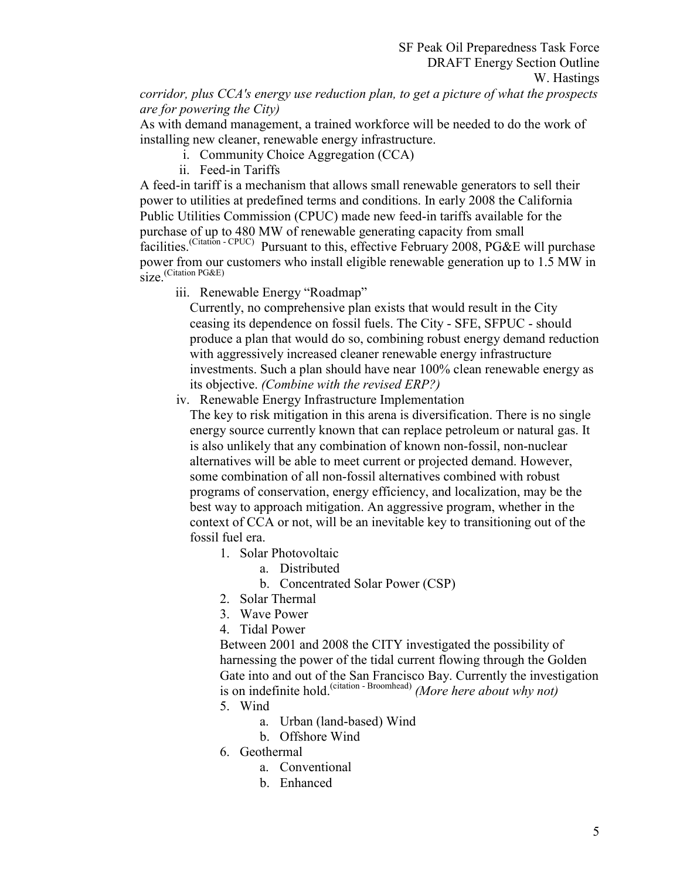corridor, plus CCA's energy use reduction plan, to get a picture of what the prospects are for powering the City)

As with demand management, a trained workforce will be needed to do the work of installing new cleaner, renewable energy infrastructure.

- i. Community Choice Aggregation (CCA)
- ii. Feed-in Tariffs

A feed-in tariff is a mechanism that allows small renewable generators to sell their power to utilities at predefined terms and conditions. In early 2008 the California Public Utilities Commission (CPUC) made new feed-in tariffs available for the purchase of up to 480 MW of renewable generating capacity from small facilities.(Citation - CPUC) Pursuant to this, effective February 2008, PG&E will purchase power from our customers who install eligible renewable generation up to 1.5 MW in size<sup>(Citation PG&E)</sup>

iii. Renewable Energy "Roadmap"

Currently, no comprehensive plan exists that would result in the City ceasing its dependence on fossil fuels. The City - SFE, SFPUC - should produce a plan that would do so, combining robust energy demand reduction with aggressively increased cleaner renewable energy infrastructure investments. Such a plan should have near 100% clean renewable energy as its objective. (Combine with the revised ERP?)

iv. Renewable Energy Infrastructure Implementation

The key to risk mitigation in this arena is diversification. There is no single energy source currently known that can replace petroleum or natural gas. It is also unlikely that any combination of known non-fossil, non-nuclear alternatives will be able to meet current or projected demand. However, some combination of all non-fossil alternatives combined with robust programs of conservation, energy efficiency, and localization, may be the best way to approach mitigation. An aggressive program, whether in the context of CCA or not, will be an inevitable key to transitioning out of the fossil fuel era.

- 1. Solar Photovoltaic
	- a. Distributed
	- b. Concentrated Solar Power (CSP)
- 2. Solar Thermal
- 3. Wave Power
- 4. Tidal Power

Between 2001 and 2008 the CITY investigated the possibility of harnessing the power of the tidal current flowing through the Golden Gate into and out of the San Francisco Bay. Currently the investigation is on indefinite hold.<sup>(citation - Broomhead)</sup> (More here about why not)

- 5. Wind
	- a. Urban (land-based) Wind
	- b. Offshore Wind
- 6. Geothermal
	- a. Conventional
	- b. Enhanced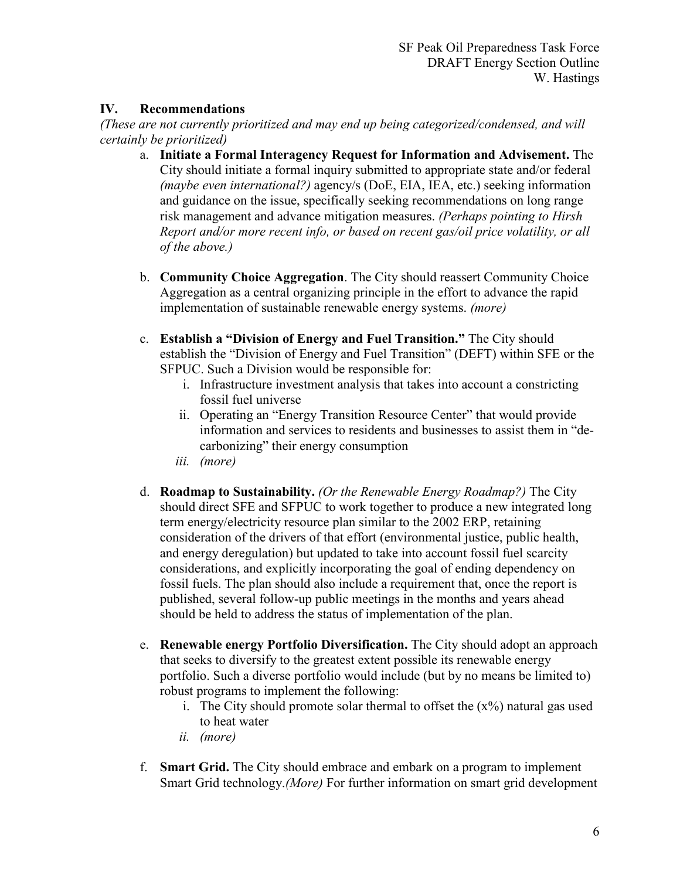# IV. Recommendations

(These are not currently prioritized and may end up being categorized/condensed, and will certainly be prioritized)

- a. Initiate a Formal Interagency Request for Information and Advisement. The City should initiate a formal inquiry submitted to appropriate state and/or federal (maybe even international?) agency/s (DoE, EIA, IEA, etc.) seeking information and guidance on the issue, specifically seeking recommendations on long range risk management and advance mitigation measures. (Perhaps pointing to Hirsh Report and/or more recent info, or based on recent gas/oil price volatility, or all of the above.)
- b. Community Choice Aggregation. The City should reassert Community Choice Aggregation as a central organizing principle in the effort to advance the rapid implementation of sustainable renewable energy systems. (more)
- c. Establish a "Division of Energy and Fuel Transition." The City should establish the "Division of Energy and Fuel Transition" (DEFT) within SFE or the SFPUC. Such a Division would be responsible for:
	- i. Infrastructure investment analysis that takes into account a constricting fossil fuel universe
	- ii. Operating an "Energy Transition Resource Center" that would provide information and services to residents and businesses to assist them in "decarbonizing" their energy consumption
	- iii. (more)
- d. Roadmap to Sustainability. (Or the Renewable Energy Roadmap?) The City should direct SFE and SFPUC to work together to produce a new integrated long term energy/electricity resource plan similar to the 2002 ERP, retaining consideration of the drivers of that effort (environmental justice, public health, and energy deregulation) but updated to take into account fossil fuel scarcity considerations, and explicitly incorporating the goal of ending dependency on fossil fuels. The plan should also include a requirement that, once the report is published, several follow-up public meetings in the months and years ahead should be held to address the status of implementation of the plan.
- e. Renewable energy Portfolio Diversification. The City should adopt an approach that seeks to diversify to the greatest extent possible its renewable energy portfolio. Such a diverse portfolio would include (but by no means be limited to) robust programs to implement the following:
	- i. The City should promote solar thermal to offset the  $(x\%)$  natural gas used to heat water
	- ii. (more)
- f. Smart Grid. The City should embrace and embark on a program to implement Smart Grid technology.(More) For further information on smart grid development